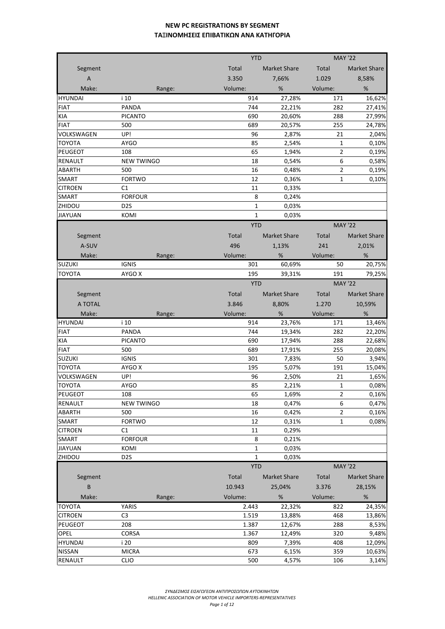|                |                   |        | <b>YTD</b>   |                     | <b>MAY '22</b> |                         |
|----------------|-------------------|--------|--------------|---------------------|----------------|-------------------------|
| Segment        |                   |        | Total        | <b>Market Share</b> | Total          | Market Share            |
| $\overline{A}$ |                   |        | 3.350        | 7,66%               | 1.029          |                         |
|                |                   |        |              |                     |                | 8,58%                   |
| Make:          |                   | Range: | Volume:      | $\%$                | Volume:        | %                       |
| <b>HYUNDAI</b> | i 10              |        | 914          | 27,28%              | 171            | 16,62%                  |
| <b>FIAT</b>    | <b>PANDA</b>      |        | 744          | 22,21%              | 282            | 27,41%                  |
| KIA            | <b>PICANTO</b>    |        | 690          | 20,60%              | 288            | 27,99%                  |
| <b>FIAT</b>    | 500               |        | 689          | 20,57%              | 255            | 24,78%                  |
| VOLKSWAGEN     | UP!               |        | 96           | 2,87%               | 21             | 2,04%                   |
| <b>TOYOTA</b>  | AYGO              |        | 85           | 2,54%               | 1              | 0,10%                   |
| PEUGEOT        | 108               |        | 65           | 1,94%               | $\overline{2}$ | 0,19%                   |
| RENAULT        | <b>NEW TWINGO</b> |        | 18           | 0,54%               | 6              | 0,58%                   |
| ABARTH         | 500               |        | 16           | 0,48%               | $\overline{2}$ | 0,19%                   |
| SMART          | <b>FORTWO</b>     |        | 12           | 0,36%               | 1              | 0,10%                   |
| <b>CITROEN</b> | C1                |        | 11           | 0,33%               |                |                         |
| <b>SMART</b>   | <b>FORFOUR</b>    |        | 8            | 0,24%               |                |                         |
| ZHIDOU         | D <sub>2</sub> S  |        | 1            | 0,03%               |                |                         |
| <b>JIAYUAN</b> | KOMI              |        | $\mathbf{1}$ | 0,03%               |                |                         |
|                |                   |        | <b>YTD</b>   |                     | <b>MAY '22</b> |                         |
| Segment        |                   |        | Total        | <b>Market Share</b> | Total          | <b>Market Share</b>     |
| A-SUV          |                   |        | 496          | 1,13%               | 241            | 2,01%                   |
| Make:          |                   | Range: | Volume:      | %                   | Volume:        | %                       |
| <b>SUZUKI</b>  | <b>IGNIS</b>      |        | 301          | 60,69%              | 50             | 20,75%                  |
| <b>TOYOTA</b>  | AYGO X            |        | 195          | 39,31%              | 191            | 79,25%                  |
|                |                   |        | <b>YTD</b>   |                     | <b>MAY '22</b> |                         |
| Segment        |                   |        | Total        | <b>Market Share</b> | Total          | <b>Market Share</b>     |
| A TOTAL        |                   |        |              |                     |                |                         |
|                |                   |        | 3.846        | 8,80%               | 1.270          | 10,59%                  |
|                |                   |        |              |                     |                |                         |
| Make:          |                   | Range: | Volume:      | %                   | Volume:        | %                       |
| <b>HYUNDAI</b> | i 10              |        | 914          | 23,76%              | 171            |                         |
| <b>FIAT</b>    | <b>PANDA</b>      |        | 744          | 19,34%              | 282            | 22,20%                  |
| KIA            | <b>PICANTO</b>    |        | 690          | 17,94%              | 288            | 22,68%                  |
| <b>FIAT</b>    | 500               |        | 689          | 17,91%              | 255            | 13,46%<br>20,08%        |
| <b>SUZUKI</b>  | <b>IGNIS</b>      |        | 301          | 7,83%               | 50             | 3,94%                   |
| <b>TOYOTA</b>  | AYGO X            |        | 195          | 5,07%               | 191            | 15,04%                  |
| VOLKSWAGEN     | UP!               |        | 96           | 2,50%               | 21             | 1,65%                   |
| <b>TOYOTA</b>  | <b>AYGO</b>       |        | 85           | 2,21%               | 1              | 0,08%                   |
| PEUGEOT        | 108               |        | 65           | 1,69%               | 2              |                         |
| RENAULT        | <b>NEW TWINGO</b> |        | 18           | 0,47%               | 6              |                         |
| ABARTH         | 500               |        | 16           | 0,42%               | $\overline{2}$ |                         |
| SMART          | <b>FORTWO</b>     |        | 12           | 0,31%               | 1              | 0,08%                   |
| <b>CITROEN</b> | C1                |        | 11           | 0,29%               |                |                         |
| SMART          | <b>FORFOUR</b>    |        | 8            | 0,21%               |                | 0,16%<br>0,47%<br>0,16% |
| <b>JIAYUAN</b> | KOMI              |        | $\mathbf 1$  | 0,03%               |                |                         |
| ZHIDOU         | D <sub>2</sub> S  |        | 1            | 0,03%               |                |                         |
|                |                   |        | <b>YTD</b>   |                     | <b>MAY '22</b> |                         |
| Segment        |                   |        | Total        | <b>Market Share</b> | Total          | Market Share            |
| B              |                   |        | 10.943       | 25,04%              | 3.376          | 28,15%                  |
| Make:          |                   | Range: | Volume:      | %                   | Volume:        | %                       |
| TOYOTA         | YARIS             |        | 2.443        | 22,32%              | 822            |                         |
| <b>CITROEN</b> | C <sub>3</sub>    |        | 1.519        | 13,88%              | 468            | 13,86%                  |
| <b>PEUGEOT</b> | 208               |        | 1.387        | 12,67%              | 288            | 24,35%<br>8,53%         |
| OPEL           | <b>CORSA</b>      |        | 1.367        | 12,49%              | 320            | 9,48%                   |
| <b>HYUNDAI</b> | i 20              |        | 809          | 7,39%               | 408            | 12,09%                  |
| <b>NISSAN</b>  | <b>MICRA</b>      |        | 673          | 6,15%               | 359            | 10,63%                  |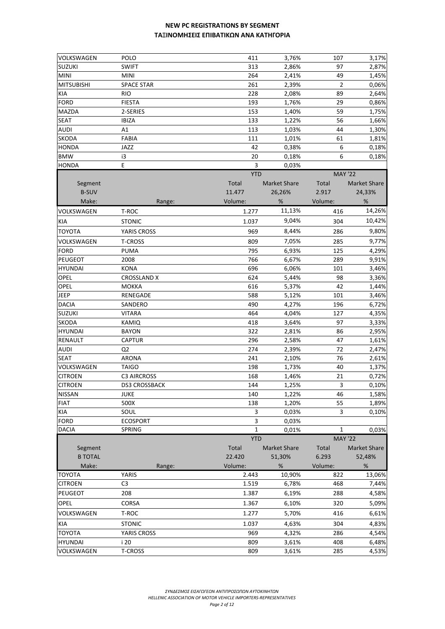| VOLKSWAGEN                | <b>POLO</b>        | 411                        | 3,76%               | 107                     | 3,17%               |
|---------------------------|--------------------|----------------------------|---------------------|-------------------------|---------------------|
| <b>SUZUKI</b>             | <b>SWIFT</b>       | 313                        | 2,86%               | 97                      | 2,87%               |
| <b>MINI</b>               | <b>MINI</b>        | 264                        | 2,41%               | 49                      | 1,45%               |
| <b>MITSUBISHI</b>         | <b>SPACE STAR</b>  | 261                        | 2,39%               | $\overline{2}$          | 0,06%               |
| <b>KIA</b>                | <b>RIO</b>         | 228                        | 2,08%               | 89                      | 2,64%               |
| <b>FORD</b>               | <b>FIESTA</b>      | 193                        | 1,76%               | 29                      | 0,86%               |
| MAZDA                     | 2-SERIES           | 153                        | 1,40%               | 59                      | 1,75%               |
| <b>SEAT</b>               | <b>IBIZA</b>       | 133                        | 1,22%               | 56                      | 1,66%               |
| <b>AUDI</b>               | A1                 | 113                        | 1,03%               | 44                      | 1,30%               |
| <b>SKODA</b>              | <b>FABIA</b>       | 111                        | 1,01%               | 61                      | 1,81%               |
| <b>HONDA</b>              | JAZZ               | 42                         | 0,38%               | 6                       | 0,18%               |
| <b>BMW</b>                | i3                 | 20                         | 0,18%               | 6                       | 0,18%               |
| <b>HONDA</b>              | E                  | 3                          | 0,03%               |                         |                     |
|                           |                    | <b>YTD</b>                 |                     | <b>MAY '22</b>          |                     |
| Segment                   |                    | Total                      | <b>Market Share</b> | Total                   | <b>Market Share</b> |
| <b>B-SUV</b>              |                    | 11.477                     | 26,26%              | 2.917                   | 24,33%              |
| Make:                     | Range:             | Volume:                    | %                   | Volume:                 | %                   |
| VOLKSWAGEN                | T-ROC              | 1.277                      | 11,13%              | 416                     | 14,26%              |
| KIA                       | <b>STONIC</b>      | 1.037                      | 9,04%               | 304                     | 10,42%              |
| <b>TOYOTA</b>             | YARIS CROSS        | 969                        | 8,44%               | 286                     | 9,80%               |
| VOLKSWAGEN                | <b>T-CROSS</b>     | 809                        | 7,05%               | 285                     | 9,77%               |
| <b>FORD</b>               | <b>PUMA</b>        | 795                        | 6,93%               | 125                     | 4,29%               |
| <b>PEUGEOT</b>            | 2008               | 766                        | 6,67%               | 289                     | 9,91%               |
| <b>HYUNDAI</b>            | <b>KONA</b>        | 696                        | 6,06%               | 101                     | 3,46%               |
| OPEL                      | <b>CROSSLAND X</b> | 624                        | 5,44%               | 98                      | 3,36%               |
| OPEL                      | <b>MOKKA</b>       | 616                        | 5,37%               | 42                      | 1,44%               |
| <b>JEEP</b>               | RENEGADE           | 588                        | 5,12%               | 101                     | 3,46%               |
| <b>DACIA</b>              | SANDERO            | 490                        | 4,27%               | 196                     | 6,72%               |
| <b>SUZUKI</b>             | <b>VITARA</b>      | 464                        | 4,04%               | 127                     | 4,35%               |
| <b>SKODA</b>              | KAMIQ              | 418                        | 3,64%               | 97                      | 3,33%               |
| <b>HYUNDAI</b>            | <b>BAYON</b>       | 322                        | 2,81%               | 86                      | 2,95%               |
| RENAULT                   | <b>CAPTUR</b>      | 296                        | 2,58%               | 47                      | 1,61%               |
| <b>AUDI</b>               | Q <sub>2</sub>     | 274                        | 2,39%               | 72                      | 2,47%               |
| <b>SEAT</b>               | <b>ARONA</b>       | 241                        | 2,10%               | 76                      | 2,61%               |
| VOLKSWAGEN                | <b>TAIGO</b>       | 198                        | 1,73%               | 40                      | 1,37%               |
| <b>CITROEN</b>            | <b>C3 AIRCROSS</b> | 168                        | 1,46%               | 21                      | 0,72%               |
| <b>CITROEN</b>            | DS3 CROSSBACK      | 144                        | 1,25%               | 3                       | 0,10%               |
| <b>NISSAN</b>             | <b>JUKE</b>        | 140                        | 1,22%               | 46                      | 1,58%               |
| <b>FIAT</b>               | 500X               | 138                        | 1,20%               | 55                      | 1,89%               |
| <b>KIA</b>                | SOUL               | 3                          | 0,03%               | 3                       | 0,10%               |
| <b>FORD</b>               | <b>ECOSPORT</b>    | 3                          | 0,03%               |                         |                     |
| <b>DACIA</b>              | SPRING             | $\mathbf{1}$<br><b>YTD</b> | 0,01%               | 1                       | 0,03%               |
|                           |                    | Total                      | <b>Market Share</b> | <b>MAY '22</b><br>Total | <b>Market Share</b> |
| Segment<br><b>B TOTAL</b> |                    | 22.420                     |                     | 6.293                   |                     |
| Make:                     | Range:             | Volume:                    | 51,30%<br>%         | Volume:                 | 52,48%<br>%         |
| <b>TOYOTA</b>             | YARIS              | 2.443                      | 10,90%              | 822                     | 13,06%              |
| <b>CITROEN</b>            | C <sub>3</sub>     | 1.519                      | 6,78%               | 468                     | 7,44%               |
| <b>PEUGEOT</b>            | 208                | 1.387                      | 6,19%               | 288                     | 4,58%               |
|                           |                    |                            |                     |                         |                     |
| OPEL                      | <b>CORSA</b>       | 1.367                      | 6,10%               | 320                     | 5,09%               |
| VOLKSWAGEN                | T-ROC              | 1.277                      | 5,70%               | 416                     | 6,61%               |
| <b>KIA</b>                | <b>STONIC</b>      | 1.037                      | 4,63%               | 304                     | 4,83%               |
| <b>TOYOTA</b>             | YARIS CROSS        | 969                        | 4,32%               | 286                     | 4,54%               |
| <b>HYUNDAI</b>            | i 20               | 809                        | 3,61%               | 408                     | 6,48%               |
| VOLKSWAGEN                | T-CROSS            | 809                        | 3,61%               | 285                     | 4,53%               |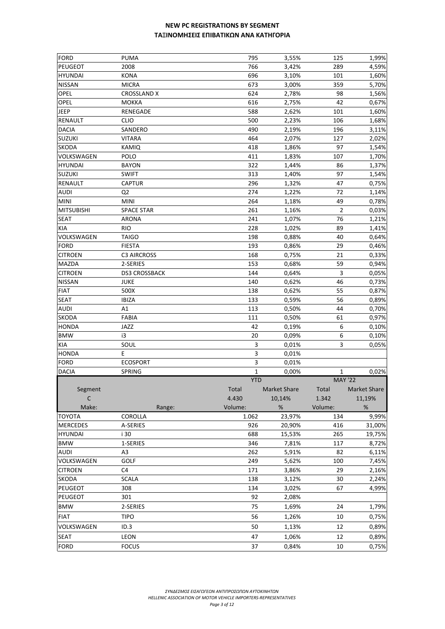| <b>FORD</b>            | <b>PUMA</b>          | 795         | 3,55%        | 125            | 1,99%        |
|------------------------|----------------------|-------------|--------------|----------------|--------------|
| PEUGEOT                | 2008                 | 766         | 3,42%        | 289            | 4,59%        |
| <b>HYUNDAI</b>         | <b>KONA</b>          | 696         | 3,10%        | 101            | 1,60%        |
| <b>NISSAN</b>          | <b>MICRA</b>         | 673         | 3,00%        | 359            | 5,70%        |
| OPEL                   | <b>CROSSLAND X</b>   | 624         | 2,78%        | 98             | 1,56%        |
| <b>OPEL</b>            | <b>MOKKA</b>         | 616         | 2,75%        | 42             | 0,67%        |
| <b>JEEP</b>            | RENEGADE             | 588         | 2,62%        | 101            | 1,60%        |
| <b>RENAULT</b>         | <b>CLIO</b>          | 500         | 2,23%        | 106            | 1,68%        |
| <b>DACIA</b>           | SANDERO              | 490         | 2,19%        | 196            | 3,11%        |
| <b>SUZUKI</b>          | <b>VITARA</b>        | 464         | 2,07%        | 127            | 2,02%        |
| <b>SKODA</b>           | KAMIQ                | 418         | 1,86%        | 97             | 1,54%        |
| VOLKSWAGEN             | POLO                 | 411         | 1,83%        | 107            | 1,70%        |
| <b>HYUNDAI</b>         | <b>BAYON</b>         | 322         | 1,44%        | 86             | 1,37%        |
| <b>SUZUKI</b>          | <b>SWIFT</b>         | 313         | 1,40%        | 97             | 1,54%        |
| <b>RENAULT</b>         | <b>CAPTUR</b>        | 296         | 1,32%        | 47             | 0,75%        |
| <b>AUDI</b>            | Q <sub>2</sub>       | 274         | 1,22%        | 72             | 1,14%        |
| <b>MINI</b>            | <b>MINI</b>          | 264         | 1,18%        | 49             | 0,78%        |
| <b>MITSUBISHI</b>      | <b>SPACE STAR</b>    | 261         | 1,16%        | $\overline{2}$ | 0,03%        |
| <b>SEAT</b>            | <b>ARONA</b>         | 241         | 1,07%        | 76             | 1,21%        |
| KIA                    | <b>RIO</b>           | 228         | 1,02%        | 89             | 1,41%        |
| VOLKSWAGEN             | <b>TAIGO</b>         | 198         | 0,88%        | 40             | 0,64%        |
| <b>FORD</b>            | <b>FIESTA</b>        | 193         | 0,86%        | 29             | 0,46%        |
| <b>CITROEN</b>         | <b>C3 AIRCROSS</b>   | 168         | 0,75%        | 21             | 0,33%        |
| <b>MAZDA</b>           | 2-SERIES             | 153         | 0,68%        | 59             | 0,94%        |
| <b>CITROEN</b>         | <b>DS3 CROSSBACK</b> | 144         | 0,64%        | 3              | 0,05%        |
| <b>NISSAN</b>          | <b>JUKE</b>          | 140         | 0,62%        | 46             | 0,73%        |
| <b>FIAT</b>            | 500X                 | 138         | 0,62%        | 55             | 0,87%        |
| <b>SEAT</b>            | <b>IBIZA</b>         | 133         | 0,59%        | 56             | 0,89%        |
| <b>AUDI</b>            | A1                   | 113         | 0,50%        | 44             | 0,70%        |
| <b>SKODA</b>           | FABIA                | 111         | 0,50%        | 61             | 0,97%        |
| <b>HONDA</b>           | JAZZ                 | 42          | 0,19%        | 6              | 0,10%        |
| <b>BMW</b>             | i3                   | 20          | 0,09%        | 6              | 0,10%        |
| KIA                    | SOUL                 | 3           | 0,01%        | 3              | 0,05%        |
| <b>HONDA</b>           | E.                   | 3           | 0,01%        |                |              |
| <b>FORD</b>            | <b>ECOSPORT</b>      | 3           | 0,01%        |                |              |
| <b>DACIA</b>           | SPRING               | $\mathbf 1$ | 0,00%        | 1              | 0,02%        |
|                        |                      | <b>YTD</b>  |              | <b>MAY '22</b> |              |
|                        |                      | Total       | Market Share | Total          | Market Share |
| Segment<br>$\mathsf C$ |                      | 4.430       | 10,14%       | 1.342          |              |
| Make:                  |                      | Volume:     | $\%$         |                | 11,19%<br>%  |
| <b>TOYOTA</b>          | Range:<br>COROLLA    | 1.062       | 23,97%       | Volume:<br>134 | 9,99%        |
| <b>MERCEDES</b>        | A-SERIES             | 926         | 20,90%       | 416            | 31,00%       |
| <b>HYUNDAI</b>         |                      |             |              |                |              |
|                        | i 30                 | 688         | 15,53%       | 265            | 19,75%       |
| <b>BMW</b>             | 1-SERIES             | 346         | 7,81%        | 117            | 8,72%        |
| <b>AUDI</b>            | A3                   | 262         | 5,91%        | 82             | 6,11%        |
| VOLKSWAGEN             | GOLF                 | 249         | 5,62%        | 100            | 7,45%        |
| <b>CITROEN</b>         | C <sub>4</sub>       | 171         | 3,86%        | 29             | 2,16%        |
| SKODA                  | <b>SCALA</b>         | 138         | 3,12%        | 30             | 2,24%        |
| PEUGEOT                | 308                  | 134         | 3,02%        | 67             | 4,99%        |
| <b>PEUGEOT</b>         | 301                  | 92          | 2,08%        |                |              |
| <b>BMW</b>             | 2-SERIES             | 75          | 1,69%        | 24             | 1,79%        |
| <b>FIAT</b>            | <b>TIPO</b>          | 56          | 1,26%        | 10             | 0,75%        |
| VOLKSWAGEN             | ID.3                 | 50          | 1,13%        | 12             | 0,89%        |
|                        |                      |             |              |                |              |
| <b>SEAT</b>            | LEON                 | 47          | 1,06%        | 12             | 0,89%        |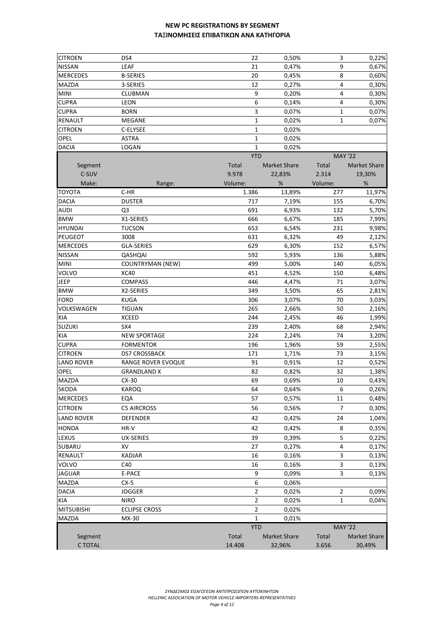| <b>CITROEN</b>    | DS4                       | 22           | 0,50%               | 3              | 0,22%               |
|-------------------|---------------------------|--------------|---------------------|----------------|---------------------|
| <b>NISSAN</b>     | LEAF                      | 21           | 0,47%               | 9              | 0,67%               |
| <b>MERCEDES</b>   | <b>B-SERIES</b>           | 20           | 0,45%               | 8              | 0,60%               |
| <b>MAZDA</b>      | 3-SERIES                  | 12           | 0,27%               | $\overline{4}$ | 0,30%               |
| <b>MINI</b>       | CLUBMAN                   | 9            | 0,20%               | $\overline{4}$ | 0,30%               |
| <b>CUPRA</b>      | LEON                      | 6            | 0,14%               | $\overline{4}$ | 0,30%               |
| <b>CUPRA</b>      | <b>BORN</b>               | 3            | 0,07%               | $\mathbf{1}$   | 0,07%               |
| <b>RENAULT</b>    | MEGANE                    | $\mathbf{1}$ | 0,02%               | 1              | 0,07%               |
| <b>CITROEN</b>    | C-ELYSEE                  | 1            | 0,02%               |                |                     |
| <b>OPEL</b>       | <b>ASTRA</b>              | 1            | 0,02%               |                |                     |
| <b>DACIA</b>      | LOGAN                     | $\mathbf{1}$ | 0,02%               |                |                     |
|                   |                           | <b>YTD</b>   |                     | <b>MAY '22</b> |                     |
| Segment           |                           | Total        | <b>Market Share</b> | Total          | Market Share        |
| C-SUV             |                           | 9.978        | 22,83%              | 2.314          | 19,30%              |
| Make:             | Range:                    | Volume:      | $\%$                | Volume:        | $\%$                |
| <b>TOYOTA</b>     | $C-HR$                    | 1.386        | 13,89%              | 277            | 11,97%              |
| <b>DACIA</b>      | <b>DUSTER</b>             | 717          | 7,19%               | 155            | 6,70%               |
| <b>AUDI</b>       | Q <sub>3</sub>            | 691          | 6,93%               | 132            | 5,70%               |
| <b>BMW</b>        | X1-SERIES                 | 666          | 6,67%               | 185            | 7,99%               |
| <b>HYUNDAI</b>    | <b>TUCSON</b>             | 653          | 6,54%               | 231            | 9,98%               |
| PEUGEOT           | 3008                      | 631          | 6,32%               | 49             | 2,12%               |
| <b>MERCEDES</b>   | GLA-SERIES                | 629          | 6,30%               | 152            | 6,57%               |
| <b>NISSAN</b>     | QASHQAI                   | 592          | 5,93%               | 136            | 5,88%               |
| <b>MINI</b>       | <b>COUNTRYMAN (NEW)</b>   | 499          | 5,00%               | 140            | 6,05%               |
| <b>VOLVO</b>      | <b>XC40</b>               | 451          | 4,52%               | 150            | 6,48%               |
| <b>JEEP</b>       | <b>COMPASS</b>            | 446          | 4,47%               | 71             | 3,07%               |
| <b>BMW</b>        | X2-SERIES                 | 349          | 3,50%               | 65             | 2,81%               |
| <b>FORD</b>       | <b>KUGA</b>               | 306          | 3,07%               | 70             | 3,03%               |
| VOLKSWAGEN        | <b>TIGUAN</b>             | 265          | 2,66%               | 50             | 2,16%               |
| <b>KIA</b>        | <b>XCEED</b>              | 244          | 2,45%               | 46             | 1,99%               |
| <b>SUZUKI</b>     | SX4                       | 239          | 2,40%               | 68             | 2,94%               |
| <b>KIA</b>        | <b>NEW SPORTAGE</b>       | 224          | 2,24%               | 74             | 3,20%               |
| <b>CUPRA</b>      | <b>FORMENTOR</b>          | 196          | 1,96%               | 59             | 2,55%               |
| <b>CITROEN</b>    | <b>DS7 CROSSBACK</b>      | 171          | 1,71%               | 73             | 3,15%               |
| <b>LAND ROVER</b> | <b>RANGE ROVER EVOQUE</b> | 91           | 0,91%               | 12             | 0,52%               |
| <b>OPEL</b>       | <b>GRANDLAND X</b>        | 82           | 0,82%               | 32             | 1,38%               |
| <b>MAZDA</b>      | $CX-30$                   | 69           | 0,69%               | 10             | 0,43%               |
| <b>SKODA</b>      | KAROQ                     | 64           | 0,64%               |                | 0,26%               |
|                   |                           |              |                     | 6              |                     |
| <b>MERCEDES</b>   | EQA                       | 57           | 0,57%               | 11             | 0,48%               |
| <b>CITROEN</b>    | <b>C5 AIRCROSS</b>        | 56           | 0,56%               | 7              | 0,30%               |
| <b>LAND ROVER</b> | <b>DEFENDER</b>           | 42           | 0,42%               | 24             | 1,04%               |
| <b>HONDA</b>      | HR-V                      | 42           | 0,42%               | 8              | 0,35%               |
| LEXUS             | <b>UX-SERIES</b>          | 39           | 0,39%               | 5              | 0,22%               |
| <b>SUBARU</b>     | XV                        | 27           | 0,27%               | 4              | 0,17%               |
| RENAULT           | <b>KADJAR</b>             | 16           | 0,16%               | 3              | 0,13%               |
| VOLVO             | C40                       | 16           | 0,16%               | 3              | 0,13%               |
| <b>JAGUAR</b>     | E-PACE                    | 9            | 0,09%               | 3              | 0,13%               |
| MAZDA             | $CX-5$                    | 6            | 0,06%               |                |                     |
| <b>DACIA</b>      | <b>JOGGER</b>             | 2            | 0,02%               | 2              | 0,09%               |
| KIA               | <b>NIRO</b>               | 2            | 0,02%               | 1              | 0,04%               |
| <b>MITSUBISHI</b> | <b>ECLIPSE CROSS</b>      | 2            | 0,02%               |                |                     |
| <b>MAZDA</b>      | MX-30                     | 1            | 0,01%               |                |                     |
|                   |                           | <b>YTD</b>   |                     | <b>MAY '22</b> |                     |
| Segment           |                           | Total        | <b>Market Share</b> | Total          | <b>Market Share</b> |
| C TOTAL           |                           | 14.408       | 32,96%              | 3.656          | 30,49%              |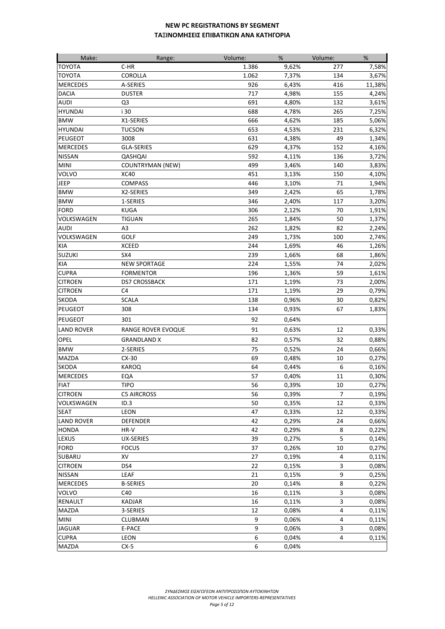| Make:             | Range:                  | Volume: | %     | Volume:        | %      |
|-------------------|-------------------------|---------|-------|----------------|--------|
| <b>TOYOTA</b>     | C-HR                    | 1.386   | 9,62% | 277            | 7,58%  |
| <b>TOYOTA</b>     | COROLLA                 | 1.062   | 7,37% | 134            | 3,67%  |
| <b>MERCEDES</b>   | A-SERIES                | 926     | 6,43% | 416            | 11,38% |
| <b>DACIA</b>      | <b>DUSTER</b>           | 717     | 4,98% | 155            | 4,24%  |
| AUDI              | Q <sub>3</sub>          | 691     | 4,80% | 132            | 3,61%  |
| <b>HYUNDAI</b>    | i 30                    | 688     | 4,78% | 265            | 7,25%  |
| <b>BMW</b>        | X1-SERIES               | 666     | 4,62% | 185            | 5,06%  |
| <b>HYUNDAI</b>    | <b>TUCSON</b>           | 653     | 4,53% | 231            | 6,32%  |
| <b>PEUGEOT</b>    | 3008                    | 631     | 4,38% | 49             | 1,34%  |
| <b>MERCEDES</b>   | <b>GLA-SERIES</b>       | 629     | 4,37% | 152            | 4,16%  |
| <b>NISSAN</b>     | QASHQAI                 | 592     | 4,11% | 136            | 3,72%  |
| <b>MINI</b>       | <b>COUNTRYMAN (NEW)</b> | 499     | 3,46% | 140            | 3,83%  |
| <b>VOLVO</b>      | <b>XC40</b>             | 451     | 3,13% | 150            | 4,10%  |
| <b>JEEP</b>       | <b>COMPASS</b>          | 446     | 3,10% | 71             | 1,94%  |
| <b>BMW</b>        | X2-SERIES               | 349     | 2,42% | 65             | 1,78%  |
| <b>BMW</b>        | 1-SERIES                | 346     | 2,40% | 117            | 3,20%  |
| <b>FORD</b>       | <b>KUGA</b>             | 306     | 2,12% | 70             | 1,91%  |
| VOLKSWAGEN        | <b>TIGUAN</b>           | 265     | 1,84% | 50             | 1,37%  |
| AUDI              | A3                      | 262     | 1,82% | 82             | 2,24%  |
| VOLKSWAGEN        | <b>GOLF</b>             | 249     | 1,73% | 100            | 2,74%  |
| KIA               | <b>XCEED</b>            | 244     | 1,69% | 46             | 1,26%  |
| <b>SUZUKI</b>     | SX4                     | 239     | 1,66% | 68             | 1,86%  |
| KIA               | <b>NEW SPORTAGE</b>     | 224     | 1,55% | 74             | 2,02%  |
| <b>CUPRA</b>      | <b>FORMENTOR</b>        | 196     | 1,36% | 59             | 1,61%  |
| <b>CITROEN</b>    | <b>DS7 CROSSBACK</b>    | 171     | 1,19% | 73             | 2,00%  |
| <b>CITROEN</b>    | C <sub>4</sub>          | 171     | 1,19% | 29             | 0,79%  |
| <b>SKODA</b>      | <b>SCALA</b>            | 138     | 0,96% | 30             | 0,82%  |
| <b>PEUGEOT</b>    | 308                     | 134     | 0,93% | 67             | 1,83%  |
| <b>PEUGEOT</b>    | 301                     | 92      | 0,64% |                |        |
| <b>LAND ROVER</b> |                         | 91      |       | 12             |        |
|                   | RANGE ROVER EVOQUE      |         | 0,63% |                | 0,33%  |
| OPEL              | <b>GRANDLAND X</b>      | 82      | 0,57% | 32             | 0,88%  |
| <b>BMW</b>        | 2-SERIES                | 75      | 0,52% | 24             | 0,66%  |
| <b>MAZDA</b>      | $CX-30$                 | 69      | 0,48% | 10             | 0,27%  |
| <b>SKODA</b>      | KAROQ                   | 64      | 0,44% | 6              | 0,16%  |
| <b>MERCEDES</b>   | EQA                     | 57      | 0,40% | 11             | 0,30%  |
| <b>FIAT</b>       | <b>TIPO</b>             | 56      | 0,39% | 10             | 0,27%  |
| <b>CITROEN</b>    | <b>C5 AIRCROSS</b>      | 56      | 0,39% | $\overline{7}$ | 0,19%  |
| VOLKSWAGEN        | ID.3                    | 50      | 0,35% | 12             | 0,33%  |
| <b>SEAT</b>       | LEON                    | 47      | 0,33% | 12             | 0,33%  |
| <b>LAND ROVER</b> | <b>DEFENDER</b>         | 42      | 0,29% | 24             | 0,66%  |
| <b>HONDA</b>      | HR-V                    | 42      | 0,29% | 8              | 0,22%  |
| LEXUS             | <b>UX-SERIES</b>        | 39      | 0,27% | 5              | 0,14%  |
| <b>FORD</b>       | <b>FOCUS</b>            | 37      | 0,26% | 10             | 0,27%  |
| SUBARU            | XV                      | 27      | 0,19% | 4              | 0,11%  |
| <b>CITROEN</b>    | DS4                     | 22      | 0,15% | 3              | 0,08%  |
| <b>NISSAN</b>     | LEAF                    | 21      | 0,15% | 9              | 0,25%  |
| <b>MERCEDES</b>   | <b>B-SERIES</b>         | 20      | 0,14% | 8              | 0,22%  |
| <b>VOLVO</b>      | C40                     | 16      | 0,11% | 3              | 0,08%  |
| <b>RENAULT</b>    | KADJAR                  | 16      | 0,11% | 3              | 0,08%  |
| <b>MAZDA</b>      | 3-SERIES                | 12      | 0,08% | 4              | 0,11%  |
| <b>MINI</b>       | CLUBMAN                 | 9       | 0,06% | 4              | 0,11%  |
| <b>JAGUAR</b>     | E-PACE                  | 9       | 0,06% | 3              | 0,08%  |
| <b>CUPRA</b>      | LEON                    | 6       | 0,04% | 4              | 0,11%  |
| MAZDA             | $CX-5$                  | 6       | 0,04% |                |        |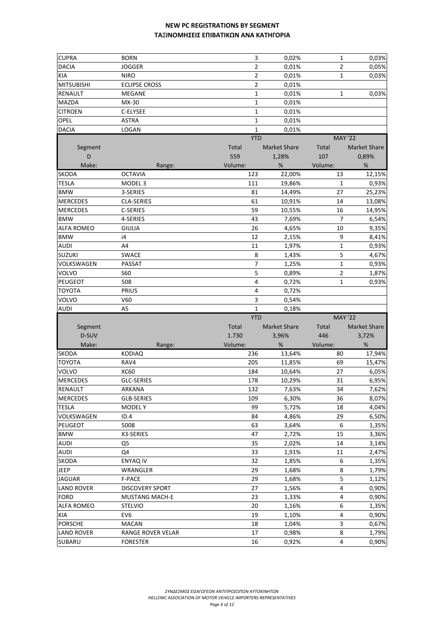| <b>CUPRA</b>              | <b>BORN</b>            | 3              | 0,02%               | 1              | 0,03%                    |
|---------------------------|------------------------|----------------|---------------------|----------------|--------------------------|
| <b>DACIA</b>              | <b>JOGGER</b>          | $\overline{2}$ | 0,01%               | 2              | 0,05%                    |
| <b>KIA</b>                | <b>NIRO</b>            | 2              | 0,01%               | 1              | 0,03%                    |
| <b>MITSUBISHI</b>         | <b>ECLIPSE CROSS</b>   | 2              | 0,01%               |                |                          |
| RENAULT                   | <b>MEGANE</b>          | 1              | 0,01%               | 1              | 0,03%                    |
| MAZDA                     | MX-30                  | 1              | 0,01%               |                |                          |
| <b>CITROEN</b>            | C-ELYSEE               | $\mathbf 1$    | 0,01%               |                |                          |
| OPEL                      | <b>ASTRA</b>           | $\mathbf 1$    | 0,01%               |                |                          |
| <b>DACIA</b>              | LOGAN                  | 1              | 0,01%               |                |                          |
|                           |                        | <b>YTD</b>     |                     | <b>MAY '22</b> |                          |
| Segment                   |                        | <b>Total</b>   | <b>Market Share</b> | Total          | <b>Market Share</b>      |
| D                         |                        | 559            | 1,28%               | 107            | 0,89%                    |
| Make:                     | Range:                 | Volume:        | %                   | Volume:        | %                        |
| <b>SKODA</b>              | <b>OCTAVIA</b>         | 123            | 22,00%              | 13             | 12,15%                   |
| <b>TESLA</b>              | MODEL <sub>3</sub>     | 111            | 19,86%              | 1              | 0,93%                    |
| <b>BMW</b>                | 3-SERIES               | 81             | 14,49%              | 27             | 25,23%                   |
| <b>MERCEDES</b>           | <b>CLA-SERIES</b>      | 61             | 10,91%              | 14             | 13,08%                   |
| <b>MERCEDES</b>           | C-SERIES               | 59             | 10,55%              | 16             | 14,95%                   |
| <b>BMW</b>                | 4-SERIES               | 43             | 7,69%               | 7              | 6,54%                    |
| <b>ALFA ROMEO</b>         | <b>GIULIA</b>          | 26             | 4,65%               | 10             | 9,35%                    |
| <b>BMW</b>                | i4                     | 12             | 2,15%               | 9              | 8,41%                    |
| <b>AUDI</b>               | A4                     | 11             | 1,97%               | $\mathbf 1$    | 0,93%                    |
| <b>SUZUKI</b>             | SWACE                  | 8              |                     | 5              |                          |
| VOLKSWAGEN                | PASSAT                 | 7              | 1,43%<br>1,25%      | $\mathbf 1$    | 4,67%                    |
|                           |                        | 5              |                     |                | 0,93%                    |
| VOLVO                     | <b>S60</b>             |                | 0,89%               | 2              | 1,87%                    |
| PEUGEOT                   | 508                    | 4              | 0,72%               | 1              | 0,93%                    |
| <b>TOYOTA</b>             | PRIUS<br>V60           | 4<br>3         | 0,72%               |                |                          |
| VOLVO                     |                        |                |                     |                |                          |
|                           |                        |                | 0,54%               |                |                          |
| <b>AUDI</b>               | A <sub>5</sub>         | 1              | 0,18%               |                |                          |
|                           |                        | <b>YTD</b>     |                     | <b>MAY '22</b> |                          |
| Segment                   |                        | Total          | <b>Market Share</b> | Total          | <b>Market Share</b>      |
| D-SUV                     |                        | 1.730          | 3,96%               | 446            | 3,72%                    |
| Make:                     | Range:                 | Volume:        | %                   | Volume:        | %                        |
| <b>SKODA</b>              | <b>KODIAQ</b>          | 236            | 13,64%              | 80             |                          |
| <b>TOYOTA</b>             | RAV4                   | 205            | 11,85%              | 69             | 15,47%                   |
| VOLVO                     | XC60                   | 184            | 10,64%              | 27             | 6,05%                    |
| <b>MERCEDES</b>           | <b>GLC-SERIES</b>      | 178            | 10,29%              | 31             | 6,95%                    |
|                           | ARKANA                 | 132            | 7,63%               | 34             |                          |
| <b>MERCEDES</b>           | GLB-SERIES             | 109            | 6,30%               | 36             | 8,07%                    |
| <b>TESLA</b>              | <b>MODELY</b>          | 99             | 5,72%               | 18             | 4,04%                    |
| VOLKSWAGEN                | ID.4                   | 84             | 4,86%               | 29             | 6,50%                    |
| <b>PEUGEOT</b>            | 5008                   | 63             | 3,64%               | 6              | 1,35%                    |
| <b>BMW</b>                | X3-SERIES              | 47             | 2,72%               | 15             | 3,36%                    |
| <b>AUDI</b>               | Q <sub>5</sub>         | 35             | 2,02%               | 14             | 3,14%                    |
| <b>AUDI</b>               | Q4                     | 33             | 1,91%               | 11             | 2,47%                    |
| <b>SKODA</b>              | <b>ENYAQ IV</b>        | 32             | 1,85%               | 6              | 1,35%                    |
| <b>JEEP</b>               | WRANGLER               | 29             | 1,68%               | 8              | 1,79%                    |
| <b>JAGUAR</b>             | F-PACE                 | 29             | 1,68%               | 5              | 1,12%                    |
| <b>LAND ROVER</b>         | <b>DISCOVERY SPORT</b> | 27             | 1,56%               | 4              | 0,90%                    |
| <b>FORD</b>               | <b>MUSTANG MACH-E</b>  | 23             | 1,33%               | 4              | 0,90%                    |
| <b>ALFA ROMEO</b>         | <b>STELVIO</b>         | 20             | 1,16%               | 6              | 1,35%                    |
| KIA                       | EV <sub>6</sub>        | 19             | 1,10%               | 4              | 0,90%                    |
| RENAULT<br><b>PORSCHE</b> | <b>MACAN</b>           | 18             | 1,04%               | 3              | 17,94%<br>7,62%<br>0,67% |
| <b>LAND ROVER</b>         | RANGE ROVER VELAR      | 17             | 0,98%               | 8              | 1,79%                    |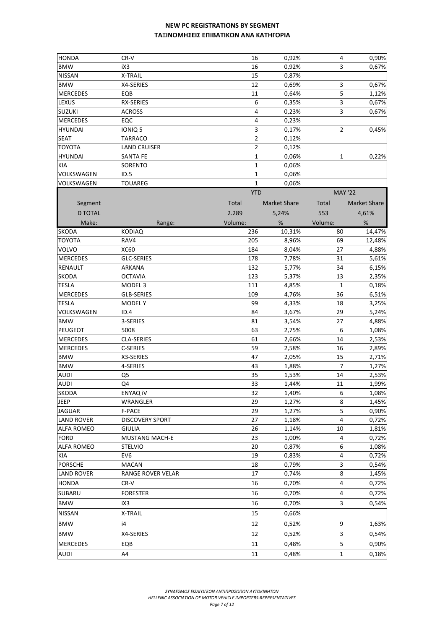| <b>HONDA</b>      | CR-V                     | 16             | 0,92%               | 4                       | 0,90%        |
|-------------------|--------------------------|----------------|---------------------|-------------------------|--------------|
| <b>BMW</b>        | iX3                      | 16             | 0,92%               | 3                       | 0,67%        |
| <b>NISSAN</b>     | X-TRAIL                  | 15             | 0,87%               |                         |              |
| <b>BMW</b>        | X4-SERIES                | 12             | 0,69%               | 3                       | 0,67%        |
| <b>MERCEDES</b>   | EQB                      | 11             | 0,64%               | 5                       | 1,12%        |
| <b>LEXUS</b>      | RX-SERIES                | 6              | 0,35%               | $\overline{\mathbf{3}}$ | 0,67%        |
| <b>SUZUKI</b>     | <b>ACROSS</b>            | 4              | 0,23%               | 3                       | 0,67%        |
| <b>MERCEDES</b>   | EQC                      | 4              | 0,23%               |                         |              |
| <b>HYUNDAI</b>    | IONIQ 5                  | 3              | 0,17%               | 2                       | 0,45%        |
| <b>SEAT</b>       | <b>TARRACO</b>           | $\overline{2}$ | 0,12%               |                         |              |
| <b>TOYOTA</b>     | <b>LAND CRUISER</b>      | $\overline{2}$ | 0,12%               |                         |              |
| <b>HYUNDAI</b>    | <b>SANTA FE</b>          | 1              | 0,06%               | $\mathbf{1}$            | 0,22%        |
| KIA               | SORENTO                  | 1              | 0,06%               |                         |              |
| VOLKSWAGEN        | ID.5                     | $\mathbf{1}$   | 0,06%               |                         |              |
| VOLKSWAGEN        | <b>TOUAREG</b>           | 1              | 0,06%               |                         |              |
|                   |                          | <b>YTD</b>     |                     | <b>MAY '22</b>          |              |
| Segment           |                          | Total          | <b>Market Share</b> | Total                   | Market Share |
| <b>D TOTAL</b>    |                          | 2.289          | 5,24%               | 553                     | 4,61%        |
|                   |                          |                |                     |                         |              |
| Make:             | Range:                   | Volume:        | %                   | Volume:                 | %            |
| SKODA             | KODIAQ                   | 236            | 10,31%              | 80                      | 14,47%       |
| <b>TOYOTA</b>     | RAV4                     | 205            | 8,96%               | 69                      | 12,48%       |
| VOLVO             | <b>XC60</b>              | 184            | 8,04%               | 27                      | 4,88%        |
| <b>MERCEDES</b>   | <b>GLC-SERIES</b>        | 178            | 7,78%               | 31                      | 5,61%        |
| <b>RENAULT</b>    | ARKANA                   | 132            | 5,77%               | 34                      | 6,15%        |
| <b>SKODA</b>      | <b>OCTAVIA</b>           | 123            | 5,37%               | 13                      | 2,35%        |
| <b>TESLA</b>      | MODEL <sub>3</sub>       | 111            | 4,85%               | $\mathbf{1}$            | 0,18%        |
| <b>MERCEDES</b>   | <b>GLB-SERIES</b>        | 109            | 4,76%               | 36                      | 6,51%        |
| <b>TESLA</b>      | MODEL Y                  | 99             | 4,33%               | 18                      | 3,25%        |
| VOLKSWAGEN        | ID.4                     | 84             | 3,67%               | 29                      | 5,24%        |
| <b>BMW</b>        | 3-SERIES                 | 81             | 3,54%               | 27                      | 4,88%        |
| PEUGEOT           | 5008                     | 63             | 2,75%               | 6                       | 1,08%        |
| <b>MERCEDES</b>   | CLA-SERIES               | 61             | 2,66%               | 14                      | 2,53%        |
| <b>MERCEDES</b>   | C-SERIES                 | 59             | 2,58%               | 16                      | 2,89%        |
| <b>BMW</b>        | X3-SERIES                | 47             | 2,05%               | 15                      | 2,71%        |
| <b>BMW</b>        | 4-SERIES                 | 43             | 1,88%               | $\overline{7}$          | 1,27%        |
| <b>AUDI</b>       | Q5                       | 35             | 1,53%               | 14                      | 2,53%        |
| <b>AUDI</b>       | Q4                       | 33             | 1,44%               | 11                      | 1,99%        |
| <b>SKODA</b>      | <b>ENYAQ IV</b>          | 32             | 1,40%               | 6                       | 1,08%        |
| JEEP              | WRANGLER                 | 29             | 1,27%               | 8                       | 1,45%        |
| <b>JAGUAR</b>     | F-PACE                   | 29             | 1,27%               | 5                       | 0,90%        |
| <b>LAND ROVER</b> | <b>DISCOVERY SPORT</b>   | 27             | 1,18%               | 4                       | 0,72%        |
| <b>ALFA ROMEO</b> | <b>GIULIA</b>            | 26             | 1,14%               | 10                      | 1,81%        |
| <b>FORD</b>       | <b>MUSTANG MACH-E</b>    | 23             | 1,00%               | 4                       | 0,72%        |
| <b>ALFA ROMEO</b> | <b>STELVIO</b>           | 20             | 0,87%               | 6                       | 1,08%        |
| KIA               | EV <sub>6</sub>          | 19             | 0,83%               | 4                       | 0,72%        |
| <b>PORSCHE</b>    | <b>MACAN</b>             | 18             | 0,79%               | 3                       | 0,54%        |
| <b>LAND ROVER</b> | <b>RANGE ROVER VELAR</b> | 17             | 0,74%               | 8                       | 1,45%        |
| <b>HONDA</b>      | CR-V                     | 16             | 0,70%               | 4                       | 0,72%        |
| SUBARU            | <b>FORESTER</b>          | 16             | 0,70%               | 4                       | 0,72%        |
| <b>BMW</b>        | iX3                      | 16             | 0,70%               | 3                       | 0,54%        |
| <b>NISSAN</b>     | X-TRAIL                  | 15             | 0,66%               |                         |              |
| <b>BMW</b>        | i4                       | 12             | 0,52%               | 9                       | 1,63%        |
| <b>BMW</b>        | X4-SERIES                | 12             |                     |                         |              |
|                   |                          |                | 0,52%               | 3                       | 0,54%        |
| <b>MERCEDES</b>   | EQB                      | 11             | 0,48%               | 5                       | 0,90%        |
| <b>AUDI</b>       | A4                       | 11             | 0,48%               | $\mathbf 1$             | 0,18%        |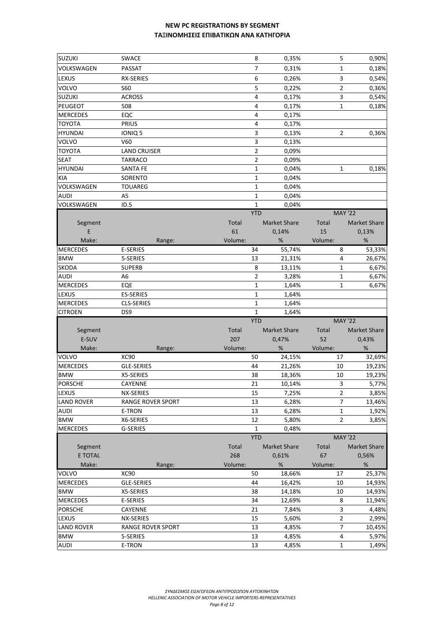| <b>SUZUKI</b>     | SWACE                    |              | 8              | 0,35%               |         | 5              | 0,90%               |
|-------------------|--------------------------|--------------|----------------|---------------------|---------|----------------|---------------------|
| VOLKSWAGEN        | PASSAT                   |              | $\overline{7}$ | 0,31%               |         | $\mathbf 1$    | 0,18%               |
| LEXUS             | <b>RX-SERIES</b>         |              | 6              | 0,26%               |         | 3              | 0,54%               |
| VOLVO             | <b>S60</b>               |              | 5              | 0,22%               |         | $\overline{2}$ | 0,36%               |
| <b>SUZUKI</b>     | <b>ACROSS</b>            |              | 4              | 0,17%               |         | 3              | 0,54%               |
| <b>PEUGEOT</b>    | 508                      |              | 4              | 0,17%               |         | 1              | 0,18%               |
| <b>MERCEDES</b>   | EQC                      |              | 4              | 0,17%               |         |                |                     |
| <b>TOYOTA</b>     | <b>PRIUS</b>             |              | 4              | 0,17%               |         |                |                     |
| <b>HYUNDAI</b>    | IONIQ 5                  |              | 3              | 0,13%               |         | 2              | 0,36%               |
| VOLVO             | V60                      |              | 3              | 0,13%               |         |                |                     |
| <b>TOYOTA</b>     | <b>LAND CRUISER</b>      |              | 2              | 0,09%               |         |                |                     |
|                   |                          |              | $\overline{2}$ |                     |         |                |                     |
| <b>SEAT</b>       | <b>TARRACO</b>           |              |                | 0,09%               |         |                |                     |
| <b>HYUNDAI</b>    | <b>SANTA FE</b>          |              | 1              | 0,04%               |         | 1              | 0,18%               |
| <b>KIA</b>        | SORENTO                  |              | 1              | 0,04%               |         |                |                     |
| VOLKSWAGEN        | <b>TOUAREG</b>           |              | 1              | 0,04%               |         |                |                     |
| <b>AUDI</b>       | A <sub>5</sub>           |              | $\mathbf 1$    | 0,04%               |         |                |                     |
| VOLKSWAGEN        | ID.5                     |              | $\mathbf{1}$   | 0,04%               |         |                |                     |
|                   |                          |              | <b>YTD</b>     |                     |         |                | <b>MAY '22</b>      |
| Segment           |                          | <b>Total</b> |                | <b>Market Share</b> | Total   |                | <b>Market Share</b> |
| E                 |                          | 61           |                | 0,14%               | 15      |                | 0,13%               |
| Make:             | Range:                   | Volume:      |                | %                   | Volume: |                | $\%$                |
| <b>MERCEDES</b>   | E-SERIES                 |              | 34             | 55,74%              |         | 8              | 53,33%              |
| <b>BMW</b>        | 5-SERIES                 |              | 13             | 21,31%              |         | 4              | 26,67%              |
| <b>SKODA</b>      | <b>SUPERB</b>            |              | 8              | 13,11%              |         | $\mathbf 1$    | 6,67%               |
| <b>AUDI</b>       | А6                       |              | $\overline{2}$ | 3,28%               |         | 1              | 6,67%               |
| <b>MERCEDES</b>   | EQE                      |              | 1              | 1,64%               |         | 1              | 6,67%               |
| LEXUS             | <b>ES-SERIES</b>         |              | 1              | 1,64%               |         |                |                     |
| <b>MERCEDES</b>   | <b>CLS-SERIES</b>        |              | 1              | 1,64%               |         |                |                     |
| <b>CITROEN</b>    | DS9                      |              | $\mathbf{1}$   | 1,64%               |         |                |                     |
|                   |                          |              | <b>YTD</b>     |                     |         |                | <b>MAY '22</b>      |
| Segment           |                          | Total        |                | <b>Market Share</b> | Total   |                | <b>Market Share</b> |
| E-SUV             |                          | 207          |                | 0,47%               | 52      |                | 0,43%               |
| Make:             | Range:                   | Volume:      |                | %                   | Volume: |                | $\%$                |
| VOLVO             | <b>XC90</b>              |              | 50             | 24,15%              |         | 17             | 32,69%              |
| <b>MERCEDES</b>   | <b>GLE-SERIES</b>        |              | 44             | 21,26%              |         | 10             | 19,23%              |
| <b>BMW</b>        | X5-SERIES                |              | 38             | 18,36%              |         | 10             | 19,23%              |
| <b>PORSCHE</b>    | CAYENNE                  |              | 21             | 10,14%              |         | 3              | 5,77%               |
| LEXUS             | NX-SERIES                |              | 15             | 7,25%               |         | $\overline{2}$ | 3,85%               |
| <b>LAND ROVER</b> | <b>RANGE ROVER SPORT</b> |              | 13             | 6,28%               |         | 7              | 13,46%              |
|                   |                          |              |                |                     |         |                | 1,92%               |
| <b>AUDI</b>       | E-TRON                   |              | 13             | 6,28%               |         | 1              |                     |
| <b>BMW</b>        | X6-SERIES                |              | 12             | 5,80%               |         | $\overline{2}$ | 3,85%               |
| <b>MERCEDES</b>   | G-SERIES                 |              | $\mathbf{1}$   | 0,48%               |         |                |                     |
|                   |                          |              | <b>YTD</b>     |                     |         |                | <b>MAY '22</b>      |
| Segment           |                          | Total        |                | <b>Market Share</b> | Total   |                | <b>Market Share</b> |
| E TOTAL           |                          | 268          |                | 0,61%               | 67      |                | 0,56%               |
| Make:             | Range:                   | Volume:      |                | $\%$                | Volume: |                | $\%$                |
| VOLVO             | <b>XC90</b>              |              | 50             | 18,66%              |         | 17             | 25,37%              |
| <b>MERCEDES</b>   | GLE-SERIES               |              | 44             | 16,42%              |         | 10             | 14,93%              |
| <b>BMW</b>        | X5-SERIES                |              | 38             | 14,18%              |         | 10             | 14,93%              |
| <b>MERCEDES</b>   | E-SERIES                 |              | 34             | 12,69%              |         | 8              | 11,94%              |
| <b>PORSCHE</b>    | CAYENNE                  |              | 21             | 7,84%               |         | 3              | 4,48%               |
| LEXUS             | NX-SERIES                |              | 15             | 5,60%               |         | $\overline{2}$ | 2,99%               |
| <b>LAND ROVER</b> | <b>RANGE ROVER SPORT</b> |              | 13             |                     |         | 7              |                     |
| <b>BMW</b>        | 5-SERIES                 |              | 13             | 4,85%<br>4,85%      |         | 4              | 10,45%<br>5,97%     |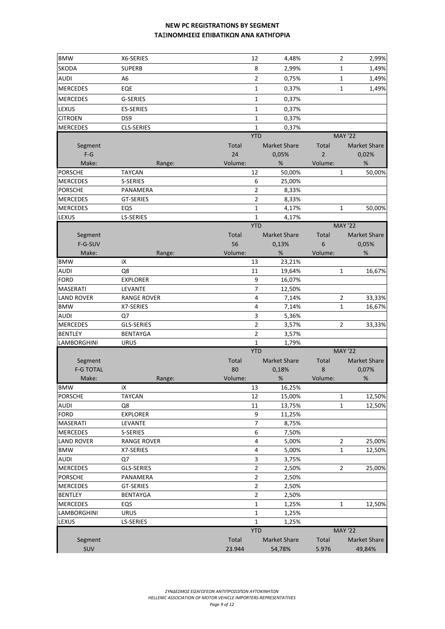| <b>BMW</b>                      | X6-SERIES          | 12             | 4,48%               |                | 2<br>2,99%               |
|---------------------------------|--------------------|----------------|---------------------|----------------|--------------------------|
| <b>SKODA</b>                    | <b>SUPERB</b>      | 8              | 2,99%               |                | 1<br>1,49%               |
| <b>AUDI</b>                     | A <sub>6</sub>     | $\overline{2}$ | 0,75%               |                | 1<br>1,49%               |
| <b>MERCEDES</b>                 | EQE                | 1              | 0,37%               |                | $\mathbf 1$<br>1,49%     |
| <b>MERCEDES</b>                 | G-SERIES           | 1              | 0,37%               |                |                          |
| LEXUS                           | <b>ES-SERIES</b>   | 1              | 0,37%               |                |                          |
| <b>CITROEN</b>                  | DS9                | 1              | 0,37%               |                |                          |
| <b>MERCEDES</b>                 | <b>CLS-SERIES</b>  | 1              | 0,37%               |                |                          |
|                                 |                    | <b>YTD</b>     |                     |                | <b>MAY '22</b>           |
| Segment                         |                    | <b>Total</b>   | <b>Market Share</b> | Total          | <b>Market Share</b>      |
| $F-G$                           |                    | 24             | 0,05%               | $\overline{2}$ | 0,02%                    |
| Make:                           | Range:             | Volume:        | %                   | Volume:        | %                        |
| <b>PORSCHE</b>                  | <b>TAYCAN</b>      | 12             | 50,00%              |                | 50,00%<br>1              |
| <b>MERCEDES</b>                 | S-SERIES           | 6              | 25,00%              |                |                          |
| <b>PORSCHE</b>                  | PANAMERA           | $\overline{2}$ | 8,33%               |                |                          |
| <b>MERCEDES</b>                 | <b>GT-SERIES</b>   | $\overline{2}$ | 8,33%               |                |                          |
| <b>MERCEDES</b>                 | EQS                | 1              | 4,17%               |                | 1<br>50,00%              |
| LEXUS                           | <b>LS-SERIES</b>   | 1              | 4,17%               |                |                          |
|                                 |                    | <b>YTD</b>     |                     |                | <b>MAY '22</b>           |
| Segment                         |                    | <b>Total</b>   | <b>Market Share</b> | Total          | <b>Market Share</b>      |
| F-G-SUV                         |                    | 56             | 0,13%               | 6              | 0,05%                    |
| Make:                           | Range:             | Volume:        | %                   | Volume:        | %                        |
| <b>BMW</b>                      | iХ                 | 13             | 23,21%              |                |                          |
| <b>AUDI</b>                     | Q8                 | $11\,$         | 19,64%              |                | 1<br>16,67%              |
| <b>FORD</b>                     | <b>EXPLORER</b>    | 9              | 16,07%              |                |                          |
| <b>MASERATI</b>                 | LEVANTE            | 7              | 12,50%              |                |                          |
| <b>LAND ROVER</b><br><b>BMW</b> | <b>RANGE ROVER</b> | 4<br>4         | 7,14%               |                | 2<br>33,33%              |
| <b>AUDI</b>                     | X7-SERIES<br>Q7    | 3              | 7,14%               |                | $\mathbf{1}$<br>16,67%   |
| <b>MERCEDES</b>                 | GLS-SERIES         | 2              | 5,36%<br>3,57%      |                | 2<br>33,33%              |
| <b>BENTLEY</b>                  | <b>BENTAYGA</b>    | $\overline{2}$ | 3,57%               |                |                          |
| <b>LAMBORGHINI</b>              | <b>URUS</b>        | $\mathbf 1$    | 1,79%               |                |                          |
|                                 |                    | <b>YTD</b>     |                     |                | <b>MAY '22</b>           |
| Segment                         |                    | <b>Total</b>   | <b>Market Share</b> | Total          | <b>Market Share</b>      |
| <b>F-G TOTAL</b>                |                    | 80             | 0,18%               | 8              | 0,07%                    |
| Make:                           | Range:             | Volume:        | $\%$                | Volume:        | %                        |
| <b>BMW</b>                      | iΧ                 | 13             | 16,25%              |                |                          |
| <b>PORSCHE</b>                  | <b>TAYCAN</b>      | 12             | 15,00%              |                | $\mathbf{1}$<br>12,50%   |
| <b>AUDI</b>                     | Q8                 | 11             | 13,75%              |                | 1<br>12,50%              |
| <b>FORD</b>                     | <b>EXPLORER</b>    | 9              | 11,25%              |                |                          |
| <b>MASERATI</b>                 | LEVANTE            | 7              | 8,75%               |                |                          |
| <b>MERCEDES</b>                 | S-SERIES           | 6              | 7,50%               |                |                          |
| <b>LAND ROVER</b>               | <b>RANGE ROVER</b> | 4              | 5,00%               |                | $\overline{2}$<br>25,00% |
| <b>BMW</b>                      | X7-SERIES          | 4              | 5,00%               |                | $\mathbf{1}$<br>12,50%   |
| <b>AUDI</b>                     | Q7                 | 3              | 3,75%               |                |                          |
| <b>MERCEDES</b>                 | GLS-SERIES         | $\overline{2}$ | 2,50%               |                | 2<br>25,00%              |
| <b>PORSCHE</b>                  | PANAMERA           | $\overline{2}$ | 2,50%               |                |                          |
| <b>MERCEDES</b>                 | GT-SERIES          | $\overline{2}$ | 2,50%               |                |                          |
| <b>BENTLEY</b>                  | <b>BENTAYGA</b>    | $\overline{2}$ | 2,50%               |                |                          |
| <b>MERCEDES</b>                 | EQS                | 1              | 1,25%               |                | $\mathbf{1}$<br>12,50%   |
| <b>LAMBORGHINI</b>              | <b>URUS</b>        | $\mathbf{1}$   | 1,25%               |                |                          |
| LEXUS                           | <b>LS-SERIES</b>   | 1              | 1,25%               |                |                          |
|                                 |                    | <b>YTD</b>     |                     |                | <b>MAY '22</b>           |
| Segment                         |                    | Total          | <b>Market Share</b> | Total          | <b>Market Share</b>      |
| SUV                             |                    | 23.944         | 54,78%              | 5.976          | 49,84%                   |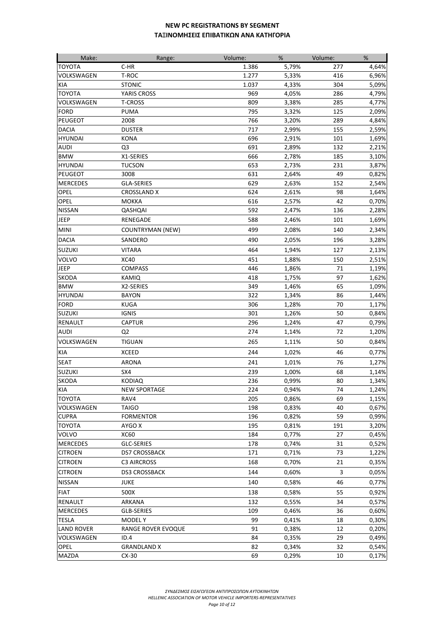| Make:             | Range:                  | Volume: | %     | Volume: | %     |
|-------------------|-------------------------|---------|-------|---------|-------|
| <b>TOYOTA</b>     | $C-HR$                  | 1.386   | 5,79% | 277     | 4,64% |
| VOLKSWAGEN        | T-ROC                   | 1.277   | 5,33% | 416     | 6,96% |
| <b>KIA</b>        | <b>STONIC</b>           | 1.037   | 4,33% | 304     | 5,09% |
| <b>TOYOTA</b>     | YARIS CROSS             | 969     | 4,05% | 286     | 4,79% |
| VOLKSWAGEN        | <b>T-CROSS</b>          | 809     | 3,38% | 285     | 4,77% |
| <b>FORD</b>       | <b>PUMA</b>             | 795     | 3,32% | 125     | 2,09% |
| <b>PEUGEOT</b>    | 2008                    | 766     | 3,20% | 289     | 4,84% |
| <b>DACIA</b>      | <b>DUSTER</b>           | 717     | 2,99% | 155     | 2,59% |
| <b>HYUNDAI</b>    | <b>KONA</b>             | 696     | 2,91% | 101     | 1,69% |
| <b>AUDI</b>       | Q3                      | 691     | 2,89% | 132     | 2,21% |
| <b>BMW</b>        | X1-SERIES               | 666     | 2,78% | 185     | 3,10% |
| <b>HYUNDAI</b>    | <b>TUCSON</b>           | 653     | 2,73% | 231     | 3,87% |
| <b>PEUGEOT</b>    | 3008                    | 631     | 2,64% | 49      | 0,82% |
| <b>MERCEDES</b>   | <b>GLA-SERIES</b>       | 629     | 2,63% | 152     | 2,54% |
| OPEL              | <b>CROSSLAND X</b>      | 624     | 2,61% | 98      | 1,64% |
| <b>OPEL</b>       | <b>MOKKA</b>            | 616     | 2,57% | 42      | 0,70% |
| <b>NISSAN</b>     | QASHQAI                 | 592     | 2,47% | 136     | 2,28% |
| JEEP              | RENEGADE                | 588     | 2,46% | 101     | 1,69% |
| <b>MINI</b>       | <b>COUNTRYMAN (NEW)</b> | 499     | 2,08% | 140     | 2,34% |
| <b>DACIA</b>      | SANDERO                 | 490     | 2,05% | 196     | 3,28% |
| <b>SUZUKI</b>     | <b>VITARA</b>           | 464     | 1,94% | 127     | 2,13% |
| <b>VOLVO</b>      | <b>XC40</b>             | 451     | 1,88% | 150     | 2,51% |
| <b>JEEP</b>       | <b>COMPASS</b>          | 446     | 1,86% | 71      | 1,19% |
| <b>SKODA</b>      | KAMIQ                   | 418     | 1,75% | 97      | 1,62% |
| <b>BMW</b>        | X2-SERIES               | 349     | 1,46% | 65      | 1,09% |
| <b>HYUNDAI</b>    | <b>BAYON</b>            | 322     | 1,34% | 86      | 1,44% |
| <b>FORD</b>       | <b>KUGA</b>             | 306     | 1,28% | 70      | 1,17% |
| <b>SUZUKI</b>     | <b>IGNIS</b>            | 301     | 1,26% | 50      | 0,84% |
| <b>RENAULT</b>    | <b>CAPTUR</b>           | 296     | 1,24% | 47      | 0,79% |
| <b>AUDI</b>       | Q <sub>2</sub>          | 274     | 1,14% | 72      | 1,20% |
| VOLKSWAGEN        | <b>TIGUAN</b>           | 265     | 1,11% | 50      | 0,84% |
| KIA               | <b>XCEED</b>            | 244     | 1,02% | 46      | 0,77% |
| <b>SEAT</b>       | <b>ARONA</b>            | 241     | 1,01% | 76      | 1,27% |
| <b>SUZUKI</b>     | SX4                     | 239     | 1,00% | 68      | 1,14% |
| <b>SKODA</b>      | <b>KODIAQ</b>           | 236     | 0,99% | 80      | 1,34% |
| <b>KIA</b>        | <b>NEW SPORTAGE</b>     | 224     | 0,94% | 74      | 1,24% |
| <b>TOYOTA</b>     | RAV4                    | 205     | 0,86% | 69      | 1,15% |
| VOLKSWAGEN        | <b>TAIGO</b>            | 198     | 0,83% | 40      | 0,67% |
| <b>CUPRA</b>      | <b>FORMENTOR</b>        | 196     | 0,82% | 59      | 0,99% |
| <b>TOYOTA</b>     | AYGO X                  | 195     | 0,81% | 191     | 3,20% |
| VOLVO             | <b>XC60</b>             | 184     | 0,77% | 27      | 0,45% |
| <b>MERCEDES</b>   | GLC-SERIES              | 178     | 0,74% | 31      | 0,52% |
| <b>CITROEN</b>    | <b>DS7 CROSSBACK</b>    | 171     | 0,71% | 73      | 1,22% |
| <b>CITROEN</b>    | <b>C3 AIRCROSS</b>      | 168     | 0,70% | 21      | 0,35% |
| <b>CITROEN</b>    | <b>DS3 CROSSBACK</b>    | 144     | 0,60% | 3       | 0,05% |
| <b>NISSAN</b>     | <b>JUKE</b>             | 140     | 0,58% | 46      | 0,77% |
| <b>FIAT</b>       | 500X                    | 138     | 0,58% | 55      | 0,92% |
| <b>RENAULT</b>    | ARKANA                  | 132     | 0,55% | 34      | 0,57% |
| <b>MERCEDES</b>   | GLB-SERIES              | 109     | 0,46% | 36      | 0,60% |
| <b>TESLA</b>      | <b>MODELY</b>           | 99      | 0,41% | 18      | 0,30% |
| <b>LAND ROVER</b> | RANGE ROVER EVOQUE      | 91      | 0,38% | 12      | 0,20% |
| VOLKSWAGEN        | ID.4                    | 84      | 0,35% | 29      | 0,49% |
| <b>OPEL</b>       | <b>GRANDLAND X</b>      | 82      | 0,34% | 32      | 0,54% |
| <b>MAZDA</b>      | $CX-30$                 | 69      | 0,29% | 10      | 0,17% |
|                   |                         |         |       |         |       |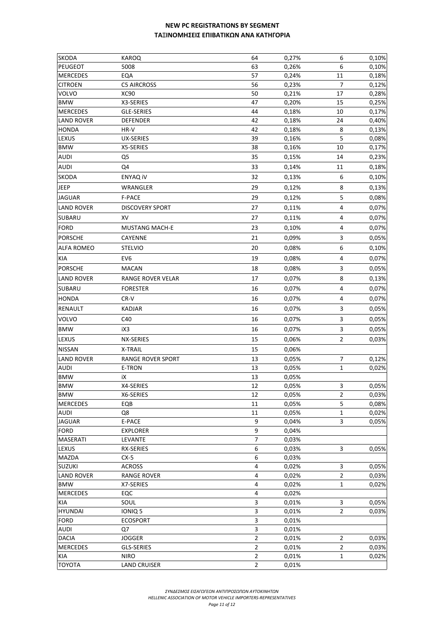| <b>SKODA</b>      | <b>KAROQ</b>             | 64                      | 0,27% | 6              | 0,10%          |
|-------------------|--------------------------|-------------------------|-------|----------------|----------------|
| <b>PEUGEOT</b>    | 5008                     | 63                      | 0,26% | 6              | 0,10%          |
| <b>MERCEDES</b>   | EQA                      | 57                      | 0,24% | 11             | 0,18%          |
| <b>CITROEN</b>    | <b>C5 AIRCROSS</b>       | 56                      | 0,23% | $\overline{7}$ | 0,12%          |
| <b>VOLVO</b>      | <b>XC90</b>              | 50                      | 0,21% | 17             | 0,28%          |
| <b>BMW</b>        | X3-SERIES                | 47                      | 0,20% | 15             | 0,25%          |
| <b>MERCEDES</b>   | GLE-SERIES               | 44                      | 0,18% | 10             | 0,17%          |
| <b>LAND ROVER</b> | <b>DEFENDER</b>          | 42                      | 0,18% | 24             | 0,40%          |
| <b>HONDA</b>      | HR-V                     | 42                      | 0,18% | 8              | 0,13%          |
| <b>LEXUS</b>      | <b>UX-SERIES</b>         | 39                      | 0,16% | 5              | 0,08%          |
| <b>BMW</b>        | X5-SERIES                | 38                      | 0,16% | 10             | 0,17%          |
| <b>AUDI</b>       | Q <sub>5</sub>           | 35                      | 0,15% | 14             | 0,23%          |
| <b>AUDI</b>       | Q4                       | 33                      | 0,14% | 11             | 0,18%          |
| SKODA             | <b>ENYAQ IV</b>          | 32                      | 0,13% | 6              | 0,10%          |
| <b>JEEP</b>       | WRANGLER                 | 29                      | 0,12% | 8              | 0,13%          |
| <b>JAGUAR</b>     | F-PACE                   | 29                      | 0,12% | 5              | 0,08%          |
| <b>LAND ROVER</b> | <b>DISCOVERY SPORT</b>   | 27                      | 0,11% | 4              | 0,07%          |
| SUBARU            | XV                       | 27                      | 0,11% | 4              | 0,07%          |
| <b>FORD</b>       | <b>MUSTANG MACH-E</b>    | 23                      | 0,10% | 4              | 0,07%          |
| <b>PORSCHE</b>    | CAYENNE                  | 21                      |       | 3              |                |
|                   |                          |                         | 0,09% |                | 0,05%          |
| <b>ALFA ROMEO</b> | <b>STELVIO</b>           | 20                      | 0,08% | 6              | 0,10%          |
| KIA               | EV <sub>6</sub>          | 19                      | 0,08% | 4              | 0,07%          |
| <b>PORSCHE</b>    | <b>MACAN</b>             | 18                      | 0,08% | 3              | 0,05%          |
| <b>LAND ROVER</b> | RANGE ROVER VELAR        | 17                      | 0,07% | 8              | 0,13%          |
| SUBARU            | <b>FORESTER</b>          | 16                      | 0,07% | 4              | 0,07%          |
| <b>HONDA</b>      | CR-V                     | 16                      | 0,07% | 4              | 0,07%          |
| <b>RENAULT</b>    | <b>KADJAR</b>            | 16                      | 0,07% | 3              | 0,05%          |
| <b>VOLVO</b>      | C40                      | 16                      | 0,07% | 3              | 0,05%          |
| <b>BMW</b>        | iX3                      | 16                      | 0,07% | 3              | 0,05%          |
| LEXUS             | NX-SERIES                | 15                      | 0,06% | $\overline{2}$ | 0,03%          |
| <b>NISSAN</b>     | X-TRAIL                  | 15                      | 0,06% |                |                |
| <b>LAND ROVER</b> | <b>RANGE ROVER SPORT</b> | 13                      | 0,05% |                |                |
| <b>AUDI</b>       | E-TRON                   | 13                      | 0,05% | 7<br>1         | 0,12%<br>0,02% |
| <b>BMW</b>        | iХ                       | 13                      | 0,05% |                |                |
| <b>BMW</b>        | X4-SERIES                | 12                      | 0,05% | 3              | 0,05%          |
| <b>BMW</b>        | X6-SERIES                | 12                      | 0,05% | $\overline{2}$ | 0,03%          |
| <b>MERCEDES</b>   | EQB                      | 11                      | 0,05% | 5              | 0,08%          |
| <b>AUDI</b>       | Q8                       | 11                      | 0,05% | 1              | 0,02%          |
| <b>JAGUAR</b>     | E-PACE                   | 9                       | 0,04% | 3              | 0,05%          |
| <b>FORD</b>       | <b>EXPLORER</b>          | 9                       | 0,04% |                |                |
| <b>MASERATI</b>   | LEVANTE                  | $\overline{7}$          | 0,03% |                |                |
| LEXUS             | <b>RX-SERIES</b>         | 6                       | 0,03% | 3              | 0,05%          |
| <b>MAZDA</b>      | $CX-5$                   | 6                       | 0,03% |                |                |
| <b>SUZUKI</b>     | <b>ACROSS</b>            | $\overline{\mathbf{4}}$ | 0,02% | 3              | 0,05%          |
| <b>LAND ROVER</b> | <b>RANGE ROVER</b>       | $\pmb{4}$               | 0,02% | $\overline{2}$ | 0,03%          |
| <b>BMW</b>        | X7-SERIES                | 4                       | 0,02% | 1              | 0,02%          |
| <b>MERCEDES</b>   | EQC                      | $\pmb{4}$               | 0,02% |                |                |
| KIA               | SOUL                     | 3                       | 0,01% | 3              | 0,05%          |
| <b>HYUNDAI</b>    | IONIQ 5                  | 3                       | 0,01% | $\overline{2}$ | 0,03%          |
| <b>FORD</b>       | <b>ECOSPORT</b>          | 3                       | 0,01% |                |                |
| <b>AUDI</b>       | Q7                       | 3                       | 0,01% |                |                |
| <b>DACIA</b>      | <b>JOGGER</b>            | $\overline{2}$          | 0,01% | $\overline{2}$ | 0,03%          |
| <b>MERCEDES</b>   | <b>GLS-SERIES</b>        | $\overline{2}$          | 0,01% | $\overline{2}$ | 0,03%          |
| KIA               | <b>NIRO</b>              | $\overline{2}$          | 0,01% | $\mathbf{1}$   | 0,02%          |
| <b>TOYOTA</b>     | <b>LAND CRUISER</b>      | $\overline{2}$          | 0,01% |                |                |